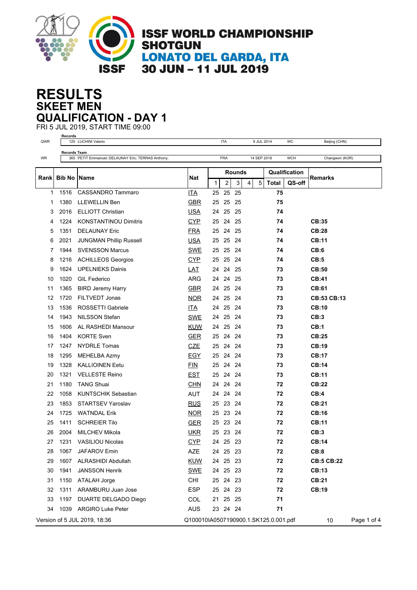

## **SKEET MEN RESULTS QUALIFICATION - DAY 1**

FRI 5 JUL 2019, START TIME 09:00 **Records**

| QWR  |                      | 125 LUCHINI Valerio                                |                                       |        | <b>ITA</b> |      | 9 JUL 2014  |              | WC            | Beijing (CHN)      |             |
|------|----------------------|----------------------------------------------------|---------------------------------------|--------|------------|------|-------------|--------------|---------------|--------------------|-------------|
|      | <b>Records Team</b>  |                                                    |                                       |        |            |      |             |              |               |                    |             |
| WR   |                      | 365 PETIT Emmanuel; DELAUNAY Eric; TERRAS Anthony; |                                       |        | FRA        |      | 14 SEP 2018 |              | <b>WCH</b>    | Changwon (KOR)     |             |
|      |                      |                                                    |                                       | Rounds |            |      |             |              | Qualification |                    |             |
| Rank | <b>Bib No   Name</b> |                                                    | <b>Nat</b>                            | 1      | 2          | 3    | 5<br>4      | <b>Total</b> | QS-off        | Remarks            |             |
| 1    | 1516                 | <b>CASSANDRO Tammaro</b>                           | <b>ITA</b>                            | 25     | 25         | 25   |             | 75           |               |                    |             |
| 1    | 1380                 | LLEWELLIN Ben                                      | <b>GBR</b>                            |        | 25 25 25   |      |             | 75           |               |                    |             |
| 3    | 2016                 | <b>ELLIOTT Christian</b>                           | <b>USA</b>                            | 24     | 25         | 25   |             | 74           |               |                    |             |
| 4    | 1224                 | <b>KONSTANTINOU Dimitris</b>                       | <b>CYP</b>                            | 25     | 24         | -25  |             | 74           |               | CB:35              |             |
| 5    | 1351                 | <b>DELAUNAY Eric</b>                               | <b>FRA</b>                            | 25     | 24 25      |      |             | 74           |               | CB:28              |             |
| 6    | 2021                 | <b>JUNGMAN Phillip Russell</b>                     | <b>USA</b>                            | 25     | 25 24      |      |             | 74           |               | <b>CB:11</b>       |             |
| 7    | 1944                 | <b>SVENSSON Marcus</b>                             | SWE                                   | 25     | 25         | 24   |             | 74           |               | CB:6               |             |
| 8    | 1216                 | <b>ACHILLEOS Georgios</b>                          | <u>CYP</u>                            | 25     | 25         | 24   |             | 74           |               | CB:5               |             |
| 9    | 1624                 | <b>UPELNIEKS Dainis</b>                            | <u>LAT</u>                            | 24     | 24         | 25   |             | 73           |               | CB:50              |             |
| 10   | 1020                 | <b>GIL Federico</b>                                | <b>ARG</b>                            | 24     | 24         | 25   |             | 73           |               | CB:41              |             |
| 11   | 1365                 | <b>BIRD Jeremy Harry</b>                           | <b>GBR</b>                            | 24     | 25         | -24  |             | 73           |               | <b>CB:61</b>       |             |
| 12   | 1720                 | <b>FILTVEDT Jonas</b>                              | <b>NOR</b>                            | 24     | 25         | -24  |             | 73           |               | <b>CB:53 CB:13</b> |             |
| 13   | 1536                 | ROSSETTI Gabriele                                  | ITA.                                  | 24     | 25 24      |      |             | 73           |               | <b>CB:10</b>       |             |
| 14   | 1943                 | <b>NILSSON Stefan</b>                              | <b>SWE</b>                            | 24     | 25         | 24   |             | 73           |               | CB:3               |             |
| 15   | 1606                 | AL RASHEDI Mansour                                 | <b>KUW</b>                            | 24     | 25         | 24   |             | 73           |               | CB:1               |             |
| 16   | 1404                 | <b>KORTE Sven</b>                                  | <b>GER</b>                            | 25     | 24         | - 24 |             | 73           |               | CB:25              |             |
| 17   | 1247                 | <b>NYDRLE Tomas</b>                                | <b>CZE</b>                            | 25     | 24         | 24   |             | 73           |               | CB:19              |             |
| 18   | 1295                 | MEHELBA Azmy                                       | <b>EGY</b>                            | 25     | 24         | -24  |             | 73           |               | <b>CB:17</b>       |             |
| 19   | 1328                 | <b>KALLIOINEN Eetu</b>                             | <b>FIN</b>                            | 25     | 24         | 24   |             | 73           |               | CB:14              |             |
| 20   | 1321                 | <b>VELLESTE Reino</b>                              | <b>EST</b>                            | 25     | 24 24      |      |             | 73           |               | <b>CB:11</b>       |             |
| 21   | 1180                 | <b>TANG Shuai</b>                                  | <b>CHN</b>                            | 24     | 24         | 24   |             | 72           |               | CB:22              |             |
| 22   | 1058                 | <b>KUNTSCHIK Sebastian</b>                         | <b>AUT</b>                            | 24     | 24         | -24  |             | 72           |               | CB:4               |             |
| 23   | 1853                 | <b>STARTSEV Yaroslav</b>                           | <b>RUS</b>                            | 25     | 23         | -24  |             | 72           |               | <b>CB:21</b>       |             |
| 24   | 1725                 | <b>WATNDAL Erik</b>                                | <b>NOR</b>                            | 25     | 23         | 24   |             | 72           |               | <b>CB:16</b>       |             |
| 25   | 1411                 | <b>SCHREIER Tilo</b>                               | <b>GER</b>                            | 25     | 23         | 24   |             | 72           |               | <b>CB:11</b>       |             |
| 26   | 2004                 | <b>MILCHEV Mikola</b>                              | <u>UKR</u>                            | 25     | 23         | -24  |             | 72           |               | CB:3               |             |
| 27   | 1231                 | VASILIOU Nicolas                                   | <b>CYP</b>                            |        | 24 25 23   |      |             | 72           |               | CB:14              |             |
| 28   |                      | 1067 JAFAROV Emin                                  | AZE                                   |        | 24 25 23   |      |             | 72           |               | CB:8               |             |
| 29   |                      | 1607 ALRASHIDI Abdullah                            | <b>KUW</b>                            |        | 24 25 23   |      |             | 72           |               | <b>CB:5 CB:22</b>  |             |
| 30   | 1941                 | <b>JANSSON Henrik</b>                              | <b>SWE</b>                            |        | 24 25 23   |      |             | 72           |               | <b>CB:13</b>       |             |
| 31   | 1150                 | ATALAH Jorge                                       | <b>CHI</b>                            |        | 25 24 23   |      |             | 72           |               | <b>CB:21</b>       |             |
| 32   |                      | 1311 ARAMBURU Juan Jose                            | <b>ESP</b>                            |        | 25 24 23   |      |             | 72           |               | <b>CB:19</b>       |             |
| 33   |                      | 1197 DUARTE DELGADO Diego                          | COL                                   |        | 21  25  25 |      |             | 71           |               |                    |             |
| 34   |                      | 1039 ARGIRO Luke Peter                             | AUS                                   |        | 23 24 24   |      |             | 71           |               |                    |             |
|      |                      | Version of 5 JUL 2019, 18:36                       | Q100010IA0507190900.1.SK125.0.001.pdf |        |            |      |             |              |               | 10                 | Page 1 of 4 |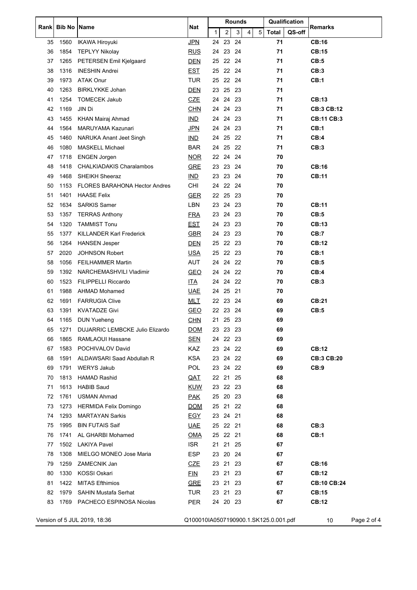|      | <b>Bib No</b> | <b>Name</b>                          |                                       | <b>Rounds</b> |                |      |   |   |       | Qualification |                    |  |
|------|---------------|--------------------------------------|---------------------------------------|---------------|----------------|------|---|---|-------|---------------|--------------------|--|
| Rank |               |                                      | Nat                                   | 1             | $\overline{2}$ | 3    | 4 | 5 | Total | QS-off        | Remarks            |  |
| 35   | 1560          | <b>IKAWA Hiroyuki</b>                | <b>JPN</b>                            | 24            | 23             | 24   |   |   | 71    |               | <b>CB:16</b>       |  |
| 36   | 1854          | <b>TEPLYY Nikolay</b>                | <u>RUS</u>                            | 24            | 23             | 24   |   |   | 71    |               | CB:15              |  |
| 37   | 1265          | PETERSEN Emil Kjelgaard              | <b>DEN</b>                            | 25            | 22 24          |      |   |   | 71    |               | CB:5               |  |
| 38   | 1316          | <b>INESHIN Andrei</b>                | <b>EST</b>                            | 25            | 22 24          |      |   |   | 71    |               | CB:3               |  |
| 39   | 1973          | <b>ATAK Onur</b>                     | <b>TUR</b>                            | 25            | 22 24          |      |   |   | 71    |               | CB:1               |  |
| 40   | 1263          | <b>BIRKLYKKE Johan</b>               | <b>DEN</b>                            |               | 23 25 23       |      |   |   | 71    |               |                    |  |
| 41   | 1254          | <b>TOMECEK Jakub</b>                 | <b>CZE</b>                            | 24            | 24             | 23   |   |   | 71    |               | CB:13              |  |
| 42   | 1169          | JIN Di                               | <b>CHN</b>                            |               | 24 24          | - 23 |   |   | 71    |               | <b>CB:3 CB:12</b>  |  |
| 43   | 1455          | KHAN Mairaj Ahmad                    | <b>IND</b>                            | 24            | 24 23          |      |   |   | 71    |               | <b>CB:11 CB:3</b>  |  |
| 44   | 1564          | MARUYAMA Kazunari                    | <u>JPN</u>                            | 24            | 24 23          |      |   |   | 71    |               | CB:1               |  |
| 45   | 1460          | NARUKA Anant Jeet Singh              | <b>IND</b>                            | 24            | 25             | 22   |   |   | 71    |               | CB:4               |  |
| 46   | 1080          | <b>MASKELL Michael</b>               | <b>BAR</b>                            | 24            | 25             | 22   |   |   | 71    |               | CB:3               |  |
| 47   | 1718          | <b>ENGEN Jorgen</b>                  | <b>NOR</b>                            |               | 22 24 24       |      |   |   | 70    |               |                    |  |
| 48   | 1418          | <b>CHALKIADAKIS Charalambos</b>      | <b>GRE</b>                            | 23            | 23             | 24   |   |   | 70    |               | <b>CB:16</b>       |  |
| 49   | 1468          | <b>SHEIKH Sheeraz</b>                | IMD                                   | 23            | 23 24          |      |   |   | 70    |               | <b>CB:11</b>       |  |
| 50   | 1153          | <b>FLORES BARAHONA Hector Andres</b> | CHI                                   | 24            | 22 24          |      |   |   | 70    |               |                    |  |
| 51   | 1401          | <b>HAASE Felix</b>                   | <b>GER</b>                            | 22            | 25 23          |      |   |   | 70    |               |                    |  |
| 52   | 1634          | <b>SARKIS Samer</b>                  | LBN                                   | 23            | 24             | 23   |   |   | 70    |               | <b>CB:11</b>       |  |
| 53   | 1357          | <b>TERRAS Anthony</b>                | <u>FRA</u>                            | 23            | 24             | 23   |   |   | 70    |               | CB:5               |  |
| 54   | 1320          | <b>TAMMIST Tonu</b>                  | <u>EST</u>                            |               | 24 23 23       |      |   |   | 70    |               | CB:13              |  |
| 55   | 1377          | KILLANDER Karl Frederick             | <b>GBR</b>                            | 24            | 23 23          |      |   |   | 70    |               | CB:7               |  |
| 56   | 1264          | <b>HANSEN Jesper</b>                 | <u>DEN</u>                            | 25            | 22 23          |      |   |   | 70    |               | CB:12              |  |
| 57   | 2020          | <b>JOHNSON Robert</b>                | <b>USA</b>                            | 25            | 22 23          |      |   |   | 70    |               | CB:1               |  |
| 58   | 1056          | <b>FEILHAMMER Martin</b>             | <b>AUT</b>                            |               | 24 24 22       |      |   |   | 70    |               | CB:5               |  |
| 59   | 1392          | NARCHEMASHVILI Vladimir              | <b>GEO</b>                            | 24            | 24             | 22   |   |   | 70    |               | CB:4               |  |
| 60   | 1523          | <b>FILIPPELLI Riccardo</b>           | <u>ITA</u>                            |               | 24 24          | 22   |   |   | 70    |               | CB:3               |  |
| 61   | 1988          | AHMAD Mohamed                        | <u>UAE</u>                            |               | 24 25 21       |      |   |   | 70    |               |                    |  |
| 62   | 1691          | <b>FARRUGIA Clive</b>                | <u>MLT</u>                            | 22            | 23 24          |      |   |   | 69    |               | <b>CB:21</b>       |  |
| 63   | 1391          | <b>KVATADZE Givi</b>                 | <b>GEO</b>                            |               | 22 23 24       |      |   |   | 69    |               | CB:5               |  |
| 64   | 1165          | <b>DUN Yueheng</b>                   | <b>CHN</b>                            |               | 21 25 23       |      |   |   | 69    |               |                    |  |
| 65   | 1271          | DUJARRIC LEMBCKE Julio Elizardo      | <b>DOM</b>                            |               | 23 23 23       |      |   |   | 69    |               |                    |  |
| 66   |               | 1865 RAMLAOUI Hassane                | <b>SEN</b>                            |               | 24 22 23       |      |   |   | 69    |               |                    |  |
| 67   | 1583          | POCHIVALOV David                     | KAZ                                   |               | 23 24 22       |      |   |   | 69    |               | <b>CB:12</b>       |  |
| 68   | 1591          | ALDAWSARI Saad Abdullah R            | KSA                                   |               | 23 24 22       |      |   |   | 69    |               | <b>CB:3 CB:20</b>  |  |
| 69   | 1791          | <b>WERYS Jakub</b>                   | <b>POL</b>                            |               | 23 24 22       |      |   |   | 69    |               | CB:9               |  |
| 70   | 1813          | <b>HAMAD Rashid</b>                  | <u>QAT</u>                            |               | 22 21 25       |      |   |   | 68    |               |                    |  |
| 71   | 1613          | <b>HABIB Saud</b>                    | <b>KUW</b>                            |               | 23 22 23       |      |   |   | 68    |               |                    |  |
| 72   | 1761          | <b>USMAN Ahmad</b>                   | <u>PAK</u>                            |               | 25 20 23       |      |   |   | 68    |               |                    |  |
| 73   | 1273          | HERMIDA Felix Domingo                | <b>DOM</b>                            |               | 25 21 22       |      |   |   | 68    |               |                    |  |
| 74   | 1293          | <b>MARTAYAN Sarkis</b>               | <u>EGY</u>                            |               | 23 24 21       |      |   |   | 68    |               |                    |  |
| 75   | 1995          | <b>BIN FUTAIS Saif</b>               | <u>UAE</u>                            |               | 25 22 21       |      |   |   | 68    |               | CB:3               |  |
| 76   | 1741          | AL GHARBI Mohamed                    | <u>OMA</u>                            |               | 25 22 21       |      |   |   | 68    |               | CB:1               |  |
| 77   |               | 1502 LAKIYA Pavel                    | <b>ISR</b>                            |               | 21 21 25       |      |   |   | 67    |               |                    |  |
|      |               |                                      |                                       |               |                |      |   |   |       |               |                    |  |
| 78   | 1308          | MIELGO MONEO Jose Maria              | ESP                                   |               | 23 20 24       |      |   |   | 67    |               |                    |  |
| 79   | 1259          | ZAMECNIK Jan                         | <u>CZE</u>                            |               | 23 21 23       |      |   |   | 67    |               | <b>CB:16</b>       |  |
| 80   | 1330          | KOSSI Oskari                         | <b>FIN</b>                            |               | 23 21 23       |      |   |   | 67    |               | <b>CB:12</b>       |  |
| 81   |               | 1422 MITAS Efthimios                 | <b>GRE</b>                            |               | 23 21 23       |      |   |   | 67    |               | <b>CB:10 CB:24</b> |  |
| 82   | 1979          | <b>SAHIN Mustafa Serhat</b>          | TUR                                   |               | 23 21 23       |      |   |   | 67    |               | <b>CB:15</b>       |  |
| 83   |               | 1769 PACHECO ESPINOSA Nicolas        | PER                                   |               | 24 20 23       |      |   |   | 67    |               | <b>CB:12</b>       |  |
|      |               | Version of 5 JUL 2019, 18:36         | Q100010IA0507190900.1.SK125.0.001.pdf |               |                |      |   |   |       |               | Page 2 of 4<br>10  |  |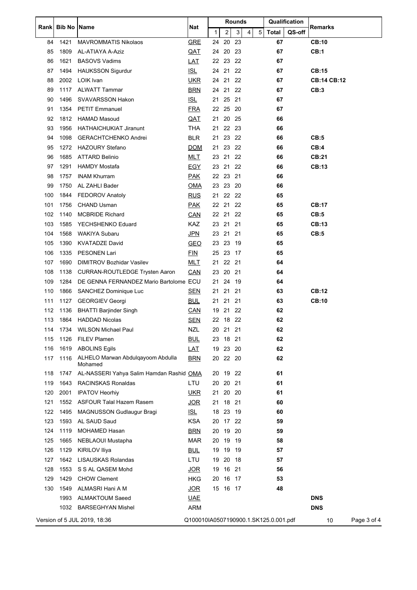|      | <b>Bib No</b> | Name                                         | Nat                                   | <b>Rounds</b> |                |      |   |   |              | Qualification |                    |             |
|------|---------------|----------------------------------------------|---------------------------------------|---------------|----------------|------|---|---|--------------|---------------|--------------------|-------------|
| Rank |               |                                              |                                       | 1             | $\overline{2}$ | 3    | 4 | 5 | <b>Total</b> | QS-off        | Remarks            |             |
| 84   | 1421          | <b>MAVROMMATIS Nikolaos</b>                  | <b>GRE</b>                            | 24            | 20             | 23   |   |   | 67           |               | <b>CB:10</b>       |             |
| 85   | 1809          | AL-ATIAYA A-Aziz                             | QAT                                   | 24            | 20             | -23  |   |   | 67           |               | <b>CB:1</b>        |             |
| 86   | 1621          | <b>BASOVS Vadims</b>                         | <b>LAT</b>                            | 22            | 23             | 22   |   |   | 67           |               |                    |             |
| 87   | 1494          | <b>HAUKSSON Sigurdur</b>                     | IL                                    | 24            | 21             | 22   |   |   | 67           |               | <b>CB:15</b>       |             |
| 88   | 2002          | LOIK Ivan                                    | <u>UKR</u>                            | 24            | 21             | 22   |   |   | 67           |               | <b>CB:14 CB:12</b> |             |
| 89   | 1117          | <b>ALWATT Tammar</b>                         | <b>BRN</b>                            |               | 24 21 22       |      |   |   | 67           |               | CB:3               |             |
| 90   | 1496          | <b>SVAVARSSON Hakon</b>                      | IL                                    | 21            | 25             | 21   |   |   | 67           |               |                    |             |
| 91   | 1354          | <b>PETIT Emmanuel</b>                        | <b>FRA</b>                            | 22            | 25             | -20  |   |   | 67           |               |                    |             |
| 92   | 1812          | <b>HAMAD Masoud</b>                          | <u>QAT</u>                            | 21            | 20             | -25  |   |   | 66           |               |                    |             |
| 93   | 1956          | <b>HATHAICHUKIAT Jiranunt</b>                | <b>THA</b>                            | 21            | 22 23          |      |   |   | 66           |               |                    |             |
| 94   | 1098          | <b>GERACHTCHENKO Andrei</b>                  | <b>BLR</b>                            | 21            | 23             | 22   |   |   | 66           |               | CB:5               |             |
| 95   | 1272          | <b>HAZOURY Stefano</b>                       | <b>DOM</b>                            | 21            | 23             | 22   |   |   | 66           |               | CB:4               |             |
| 96   | 1685          | <b>ATTARD Belinio</b>                        | MLT                                   |               | 23 21 22       |      |   |   | 66           |               | CB:21              |             |
| 97   | 1291          | <b>HAMDY Mostafa</b>                         | <b>EGY</b>                            | 23            | 21             | 22   |   |   | 66           |               | <b>CB:13</b>       |             |
| 98   | 1757          | <b>INAM Khurram</b>                          | <b>PAK</b>                            | 22            | 23             | 21   |   |   | 66           |               |                    |             |
| 99   | 1750          | AL ZAHLI Bader                               | <b>OMA</b>                            | 23            | 23             | -20  |   |   | 66           |               |                    |             |
| 100  | 1844          | FEDOROV Anatoly                              | <b>RUS</b>                            | 21            | 22 22          |      |   |   | 65           |               |                    |             |
| 101  | 1756          | <b>CHAND Usman</b>                           | <b>PAK</b>                            | 22            | 21             | 22   |   |   | 65           |               | <b>CB:17</b>       |             |
| 102  | 1140          | <b>MCBRIDE Richard</b>                       | <b>CAN</b>                            | 22 21         |                | 22   |   |   | 65           |               | CB:5               |             |
| 103  | 1585          | YECHSHENKO Eduard                            | KAZ                                   |               | 23 21          | -21  |   |   | 65           |               | <b>CB:13</b>       |             |
| 104  | 1568          | WAKIYA Subaru                                | <b>JPN</b>                            | 23            | 21             | 21   |   |   | 65           |               | CB:5               |             |
| 105  | 1390          | <b>KVATADZE David</b>                        | <b>GEO</b>                            | 23            | 23             | -19  |   |   | 65           |               |                    |             |
| 106  | 1335          | <b>PESONEN Lari</b>                          | <b>FIN</b>                            | 25            | 23             | -17  |   |   | 65           |               |                    |             |
| 107  | 1690          | <b>DIMITROV Bozhidar Vasilev</b>             | <u>MLT</u>                            | 21            | 22 21          |      |   |   | 64           |               |                    |             |
| 108  | 1138          | <b>CURRAN-ROUTLEDGE Trysten Aaron</b>        | CAN                                   | 23            | 20             | 21   |   |   | 64           |               |                    |             |
| 109  | 1284          | DE GENNA FERNANDEZ Mario Bartolome ECU       |                                       | 21            | 24             | 19   |   |   | 64           |               |                    |             |
| 110  | 1866          | SANCHEZ Dominique Luc                        | <u>SEN</u>                            | 21 21         |                | -21  |   |   | 63           |               | CB:12              |             |
| 111  | 1127          | <b>GEORGIEV Georgi</b>                       | <b>BUL</b>                            | 21            | 21             | 21   |   |   | 63           |               | <b>CB:10</b>       |             |
| 112  | 1136          | <b>BHATTI Barjinder Singh</b>                | CAN                                   | 19            | 21             | -22  |   |   | 62           |               |                    |             |
| 113  | 1864          | <b>HADDAD Nicolas</b>                        | <b>SEN</b>                            |               | 22 18 22       |      |   |   | 62           |               |                    |             |
|      |               | 114 1734 WILSON Michael Paul                 | NZL                                   |               | 20 21 21       |      |   |   | 62           |               |                    |             |
| 115  | 1126          | FILEV Plamen                                 | <b>BUL</b>                            |               | 23 18 21       |      |   |   | 62           |               |                    |             |
| 116  | 1619          | <b>ABOLINS Egils</b>                         | <u>LAT</u>                            | 19            | 23             | 20   |   |   | 62           |               |                    |             |
| 117  | 1116          | ALHELO Marwan Abdulgayoom Abdulla<br>Mohamed | <b>BRN</b>                            |               | 20 22 20       |      |   |   | 62           |               |                    |             |
| 118  | 1747          | AL-NASSERI Yahya Salim Hamdan Rashid OMA     |                                       |               | 20 19          | -22  |   |   | 61           |               |                    |             |
| 119  | 1643          | RACINSKAS Ronaldas                           | LTU                                   | 20            | 20             | 21   |   |   | 61           |               |                    |             |
| 120  | 2001          | <b>IPATOV Heorhiy</b>                        | <u>UKR</u>                            |               | 21 20 20       |      |   |   | 61           |               |                    |             |
| 121  | 1552          | <b>ASFOUR Talal Hazem Rasem</b>              | <b>JOR</b>                            |               | 21 18          | -21  |   |   | 60           |               |                    |             |
| 122  | 1495          | <b>MAGNUSSON Gudlaugur Bragi</b>             | <u>ISL</u>                            | 18            | 23             | -19  |   |   | 60           |               |                    |             |
| 123  | 1593          | AL SAUD Saud                                 | <b>KSA</b>                            |               | 20 17 22       |      |   |   | 59           |               |                    |             |
| 124  | 1119          | <b>MOHAMED Hasan</b>                         | <b>BRN</b>                            | 20            | 19             | 20   |   |   | 59           |               |                    |             |
| 125  | 1665          | NEBLAOUI Mustapha                            | <b>MAR</b>                            | 20            | 19             | - 19 |   |   | 58           |               |                    |             |
| 126  | 1129          | KIRILOV Iliya                                | <b>BUL</b>                            | 19            | 19             | - 19 |   |   | 57           |               |                    |             |
| 127  | 1642          | <b>LISAUSKAS Rolandas</b>                    | LTU                                   | 19            | 20 18          |      |   |   | 57           |               |                    |             |
| 128  | 1553          | S S AL QASEM Mohd                            | <u>JOR</u>                            | 19            | 16             | 21   |   |   | 56           |               |                    |             |
| 129  | 1429          | <b>CHOW Clement</b>                          | HKG                                   | 20            | 16             | 17   |   |   | 53           |               |                    |             |
| 130  | 1549          | ALMASRI Hani A M                             | <u>JOR</u>                            |               | 15 16 17       |      |   |   | 48           |               |                    |             |
|      | 1993          | <b>ALMAKTOUM Saeed</b>                       | <b>UAE</b>                            |               |                |      |   |   |              |               | <b>DNS</b>         |             |
|      |               | 1032 BARSEGHYAN Mishel                       | <b>ARM</b>                            |               |                |      |   |   |              |               | <b>DNS</b>         |             |
|      |               | Version of 5 JUL 2019, 18:36                 | Q100010IA0507190900.1.SK125.0.001.pdf |               |                |      |   |   |              |               | 10                 | Page 3 of 4 |